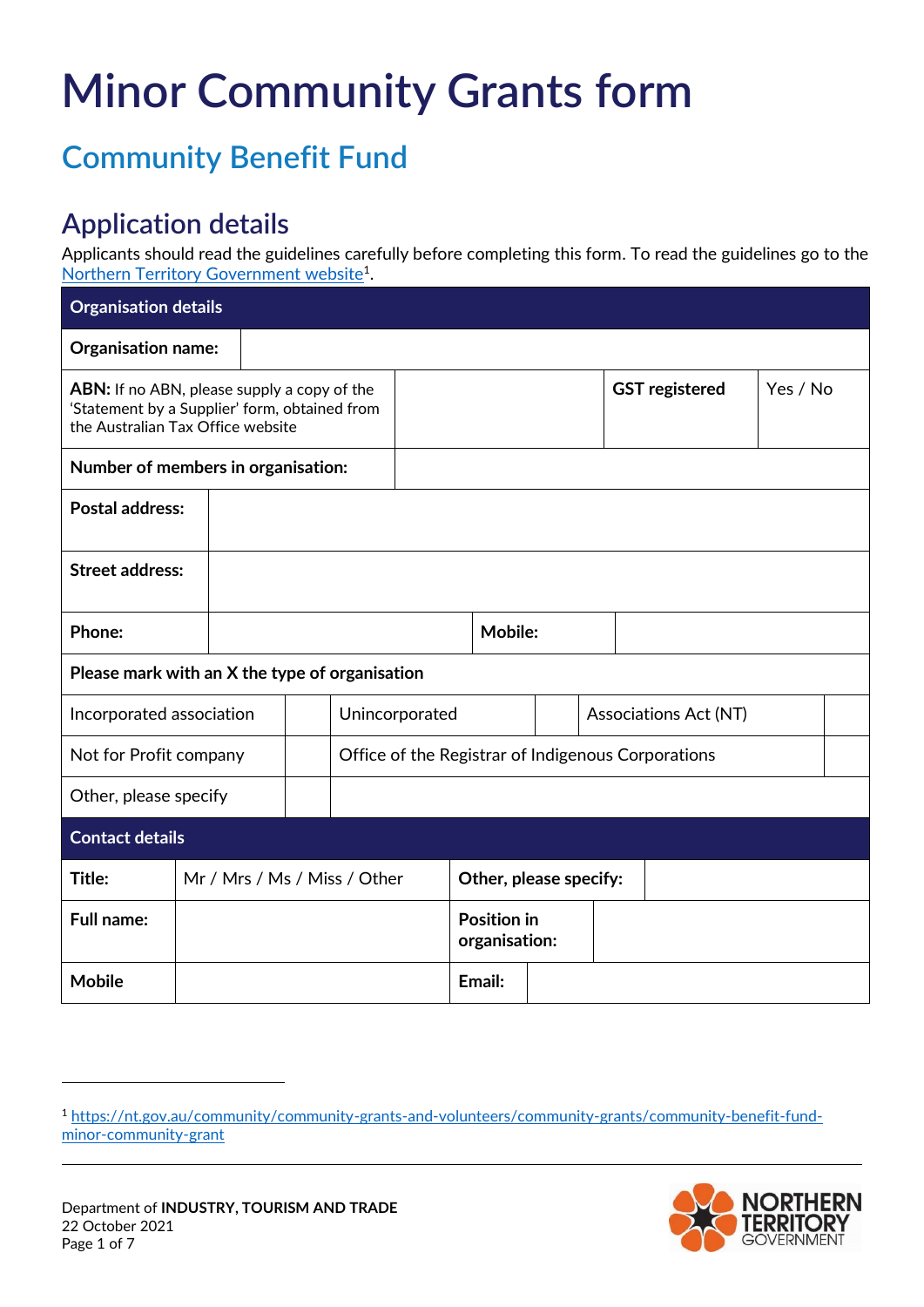## **Minor Community Grants form**

## **Community Benefit Fund**

## **Application details**

Applicants should read the guidelines carefully before completing this form. To read the guidelines go to the [Northern Territory Government website](https://nt.gov.au/community/community-grants-and-volunteers/community-grants/community-benefit-fund-minor-community-grant)<sup>1</sup>.

| <b>Organisation details</b>                                                                                                              |  |                              |  |                                                    |                        |  |                |  |                       |                       |          |  |  |
|------------------------------------------------------------------------------------------------------------------------------------------|--|------------------------------|--|----------------------------------------------------|------------------------|--|----------------|--|-----------------------|-----------------------|----------|--|--|
| Organisation name:                                                                                                                       |  |                              |  |                                                    |                        |  |                |  |                       |                       |          |  |  |
| <b>ABN:</b> If no ABN, please supply a copy of the<br>'Statement by a Supplier' form, obtained from<br>the Australian Tax Office website |  |                              |  |                                                    |                        |  |                |  |                       | <b>GST</b> registered | Yes / No |  |  |
| Number of members in organisation:                                                                                                       |  |                              |  |                                                    |                        |  |                |  |                       |                       |          |  |  |
| <b>Postal address:</b>                                                                                                                   |  |                              |  |                                                    |                        |  |                |  |                       |                       |          |  |  |
| <b>Street address:</b>                                                                                                                   |  |                              |  |                                                    |                        |  |                |  |                       |                       |          |  |  |
| Phone:                                                                                                                                   |  |                              |  |                                                    |                        |  | <b>Mobile:</b> |  |                       |                       |          |  |  |
| Please mark with an X the type of organisation                                                                                           |  |                              |  |                                                    |                        |  |                |  |                       |                       |          |  |  |
| Incorporated association                                                                                                                 |  |                              |  | Unincorporated                                     |                        |  |                |  | Associations Act (NT) |                       |          |  |  |
| Not for Profit company                                                                                                                   |  |                              |  | Office of the Registrar of Indigenous Corporations |                        |  |                |  |                       |                       |          |  |  |
| Other, please specify                                                                                                                    |  |                              |  |                                                    |                        |  |                |  |                       |                       |          |  |  |
| <b>Contact details</b>                                                                                                                   |  |                              |  |                                                    |                        |  |                |  |                       |                       |          |  |  |
| Title:                                                                                                                                   |  | Mr / Mrs / Ms / Miss / Other |  |                                                    | Other, please specify: |  |                |  |                       |                       |          |  |  |
| <b>Full name:</b>                                                                                                                        |  |                              |  | <b>Position in</b><br>organisation:                |                        |  |                |  |                       |                       |          |  |  |
| <b>Mobile</b>                                                                                                                            |  |                              |  |                                                    |                        |  | Email:         |  |                       |                       |          |  |  |

<sup>1</sup> [https://nt.gov.au/community/community-grants-and-volunteers/community-grants/community-benefit-fund](https://nt.gov.au/community/community-grants-and-volunteers/community-grants/community-benefit-fund-minor-community-grant)[minor-community-grant](https://nt.gov.au/community/community-grants-and-volunteers/community-grants/community-benefit-fund-minor-community-grant)



-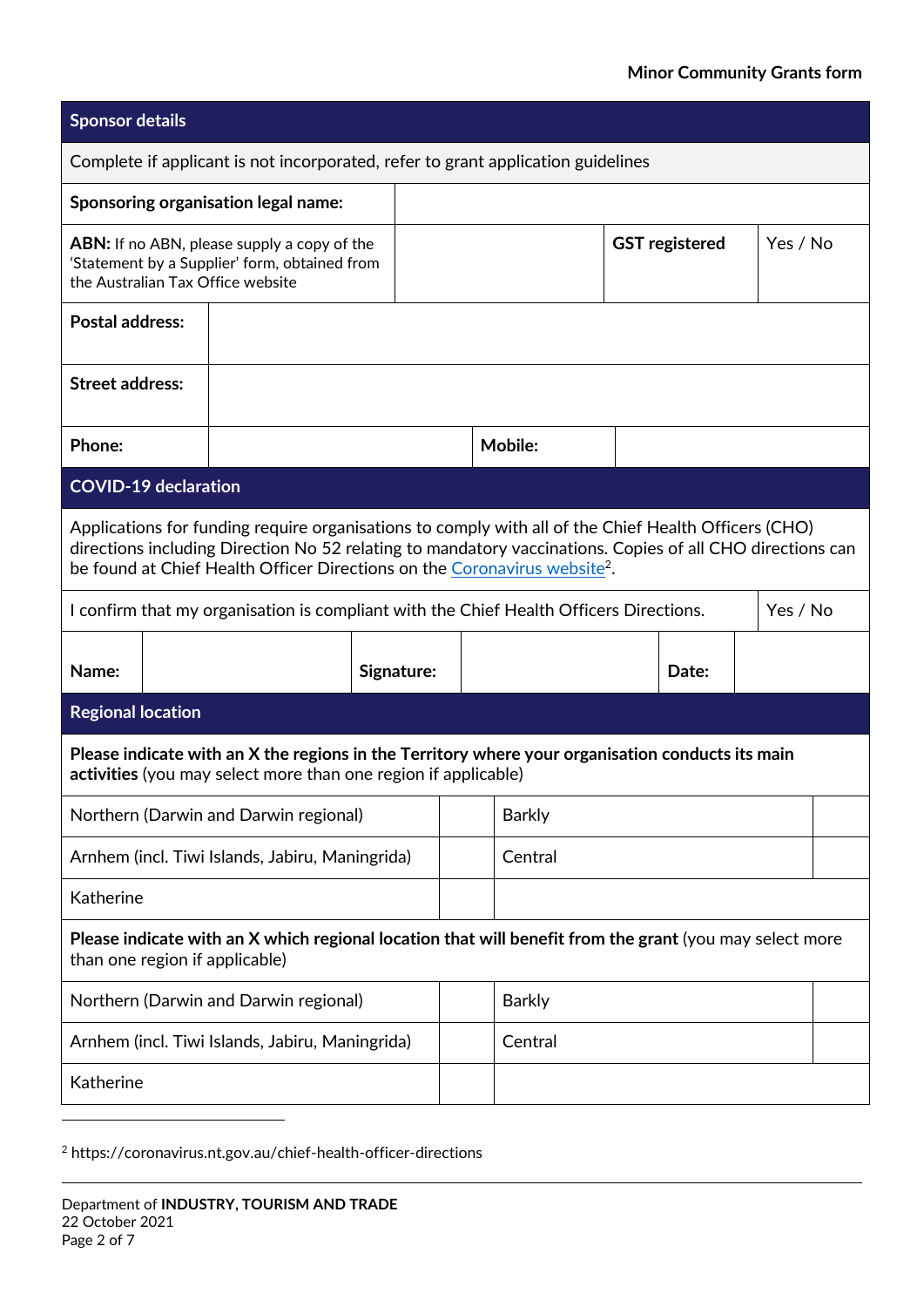| <b>Sponsor details</b>                                                                                                                                                                                                                                                                                     |                                                                                                                                                                    |            |               |                |  |                       |          |  |  |  |
|------------------------------------------------------------------------------------------------------------------------------------------------------------------------------------------------------------------------------------------------------------------------------------------------------------|--------------------------------------------------------------------------------------------------------------------------------------------------------------------|------------|---------------|----------------|--|-----------------------|----------|--|--|--|
| Complete if applicant is not incorporated, refer to grant application guidelines                                                                                                                                                                                                                           |                                                                                                                                                                    |            |               |                |  |                       |          |  |  |  |
| Sponsoring organisation legal name:                                                                                                                                                                                                                                                                        |                                                                                                                                                                    |            |               |                |  |                       |          |  |  |  |
| <b>ABN:</b> If no ABN, please supply a copy of the<br>'Statement by a Supplier' form, obtained from<br>the Australian Tax Office website                                                                                                                                                                   |                                                                                                                                                                    |            |               |                |  | <b>GST</b> registered | Yes / No |  |  |  |
| <b>Postal address:</b>                                                                                                                                                                                                                                                                                     |                                                                                                                                                                    |            |               |                |  |                       |          |  |  |  |
| <b>Street address:</b>                                                                                                                                                                                                                                                                                     |                                                                                                                                                                    |            |               |                |  |                       |          |  |  |  |
| Phone:                                                                                                                                                                                                                                                                                                     |                                                                                                                                                                    |            |               | <b>Mobile:</b> |  |                       |          |  |  |  |
| <b>COVID-19 declaration</b>                                                                                                                                                                                                                                                                                |                                                                                                                                                                    |            |               |                |  |                       |          |  |  |  |
| Applications for funding require organisations to comply with all of the Chief Health Officers (CHO)<br>directions including Direction No 52 relating to mandatory vaccinations. Copies of all CHO directions can<br>be found at Chief Health Officer Directions on the Coronavirus website <sup>2</sup> . |                                                                                                                                                                    |            |               |                |  |                       |          |  |  |  |
|                                                                                                                                                                                                                                                                                                            | I confirm that my organisation is compliant with the Chief Health Officers Directions.                                                                             |            |               |                |  |                       | Yes / No |  |  |  |
| Name:                                                                                                                                                                                                                                                                                                      |                                                                                                                                                                    | Signature: |               | Date:          |  |                       |          |  |  |  |
| <b>Regional location</b>                                                                                                                                                                                                                                                                                   |                                                                                                                                                                    |            |               |                |  |                       |          |  |  |  |
|                                                                                                                                                                                                                                                                                                            | Please indicate with an X the regions in the Territory where your organisation conducts its main<br>activities (you may select more than one region if applicable) |            |               |                |  |                       |          |  |  |  |
| Northern (Darwin and Darwin regional)                                                                                                                                                                                                                                                                      |                                                                                                                                                                    |            |               | <b>Barkly</b>  |  |                       |          |  |  |  |
| Arnhem (incl. Tiwi Islands, Jabiru, Maningrida)                                                                                                                                                                                                                                                            |                                                                                                                                                                    |            |               | Central        |  |                       |          |  |  |  |
| Katherine                                                                                                                                                                                                                                                                                                  |                                                                                                                                                                    |            |               |                |  |                       |          |  |  |  |
| Please indicate with an X which regional location that will benefit from the grant (you may select more<br>than one region if applicable)                                                                                                                                                                  |                                                                                                                                                                    |            |               |                |  |                       |          |  |  |  |
|                                                                                                                                                                                                                                                                                                            | Northern (Darwin and Darwin regional)                                                                                                                              |            | <b>Barkly</b> |                |  |                       |          |  |  |  |
|                                                                                                                                                                                                                                                                                                            | Arnhem (incl. Tiwi Islands, Jabiru, Maningrida)                                                                                                                    |            |               | Central        |  |                       |          |  |  |  |
| Katherine                                                                                                                                                                                                                                                                                                  |                                                                                                                                                                    |            |               |                |  |                       |          |  |  |  |

<sup>2</sup> https://coronavirus.nt.gov.au/chief-health-officer-directions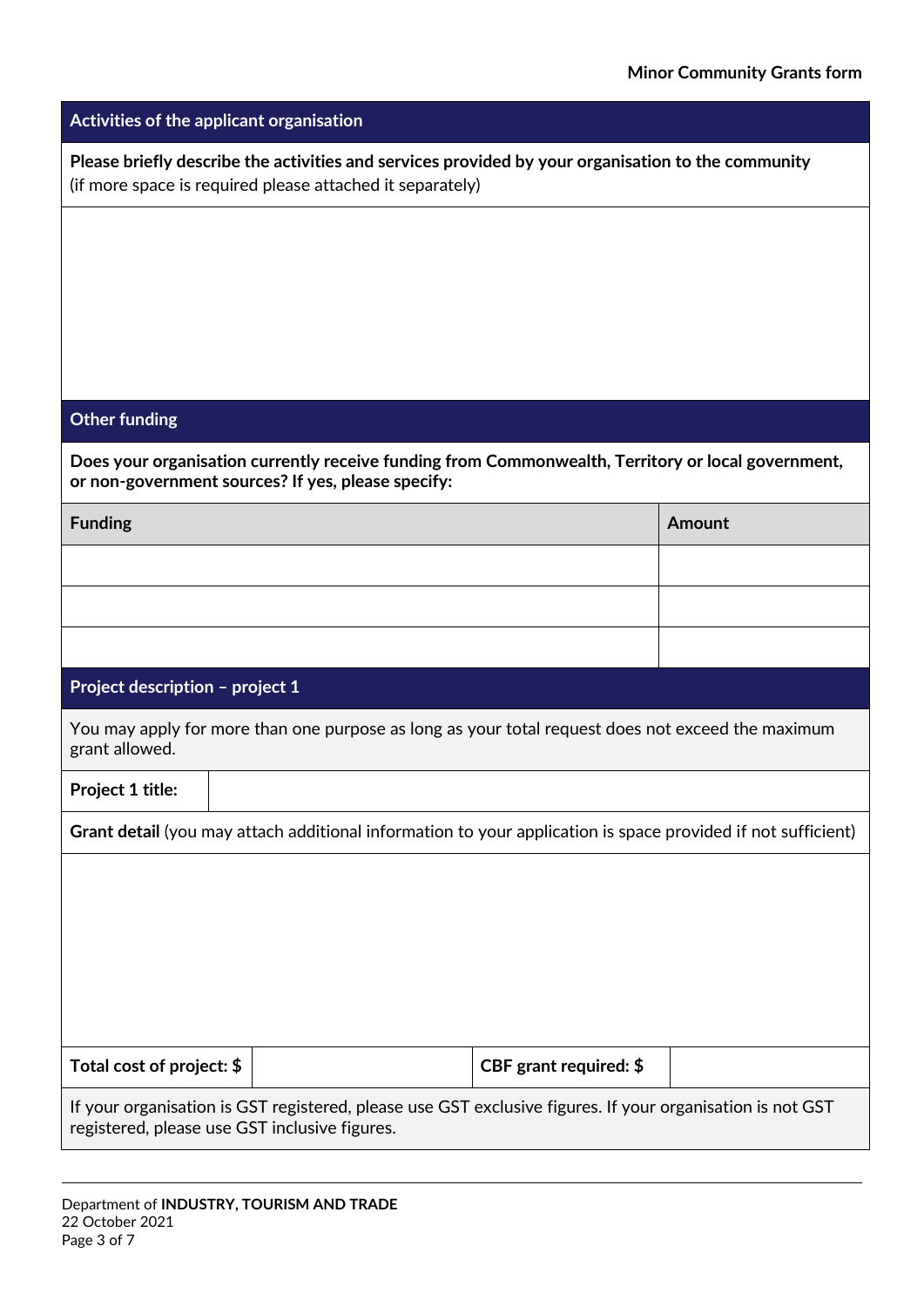| Activities of the applicant organisation                                                                                                                        |                        |               |  |  |  |  |  |
|-----------------------------------------------------------------------------------------------------------------------------------------------------------------|------------------------|---------------|--|--|--|--|--|
| Please briefly describe the activities and services provided by your organisation to the community<br>(if more space is required please attached it separately) |                        |               |  |  |  |  |  |
|                                                                                                                                                                 |                        |               |  |  |  |  |  |
|                                                                                                                                                                 |                        |               |  |  |  |  |  |
|                                                                                                                                                                 |                        |               |  |  |  |  |  |
|                                                                                                                                                                 |                        |               |  |  |  |  |  |
| <b>Other funding</b>                                                                                                                                            |                        |               |  |  |  |  |  |
| Does your organisation currently receive funding from Commonwealth, Territory or local government,<br>or non-government sources? If yes, please specify:        |                        |               |  |  |  |  |  |
| <b>Funding</b>                                                                                                                                                  |                        | <b>Amount</b> |  |  |  |  |  |
|                                                                                                                                                                 |                        |               |  |  |  |  |  |
|                                                                                                                                                                 |                        |               |  |  |  |  |  |
|                                                                                                                                                                 |                        |               |  |  |  |  |  |
| Project description - project 1                                                                                                                                 |                        |               |  |  |  |  |  |
| You may apply for more than one purpose as long as your total request does not exceed the maximum<br>grant allowed.                                             |                        |               |  |  |  |  |  |
| Project 1 title:                                                                                                                                                |                        |               |  |  |  |  |  |
| Grant detail (you may attach additional information to your application is space provided if not sufficient)                                                    |                        |               |  |  |  |  |  |
|                                                                                                                                                                 |                        |               |  |  |  |  |  |
|                                                                                                                                                                 |                        |               |  |  |  |  |  |
|                                                                                                                                                                 |                        |               |  |  |  |  |  |
|                                                                                                                                                                 |                        |               |  |  |  |  |  |
| Total cost of project: \$                                                                                                                                       | CBF grant required: \$ |               |  |  |  |  |  |
| If your organisation is GST registered, please use GST exclusive figures. If your organisation is not GST<br>registered, please use GST inclusive figures.      |                        |               |  |  |  |  |  |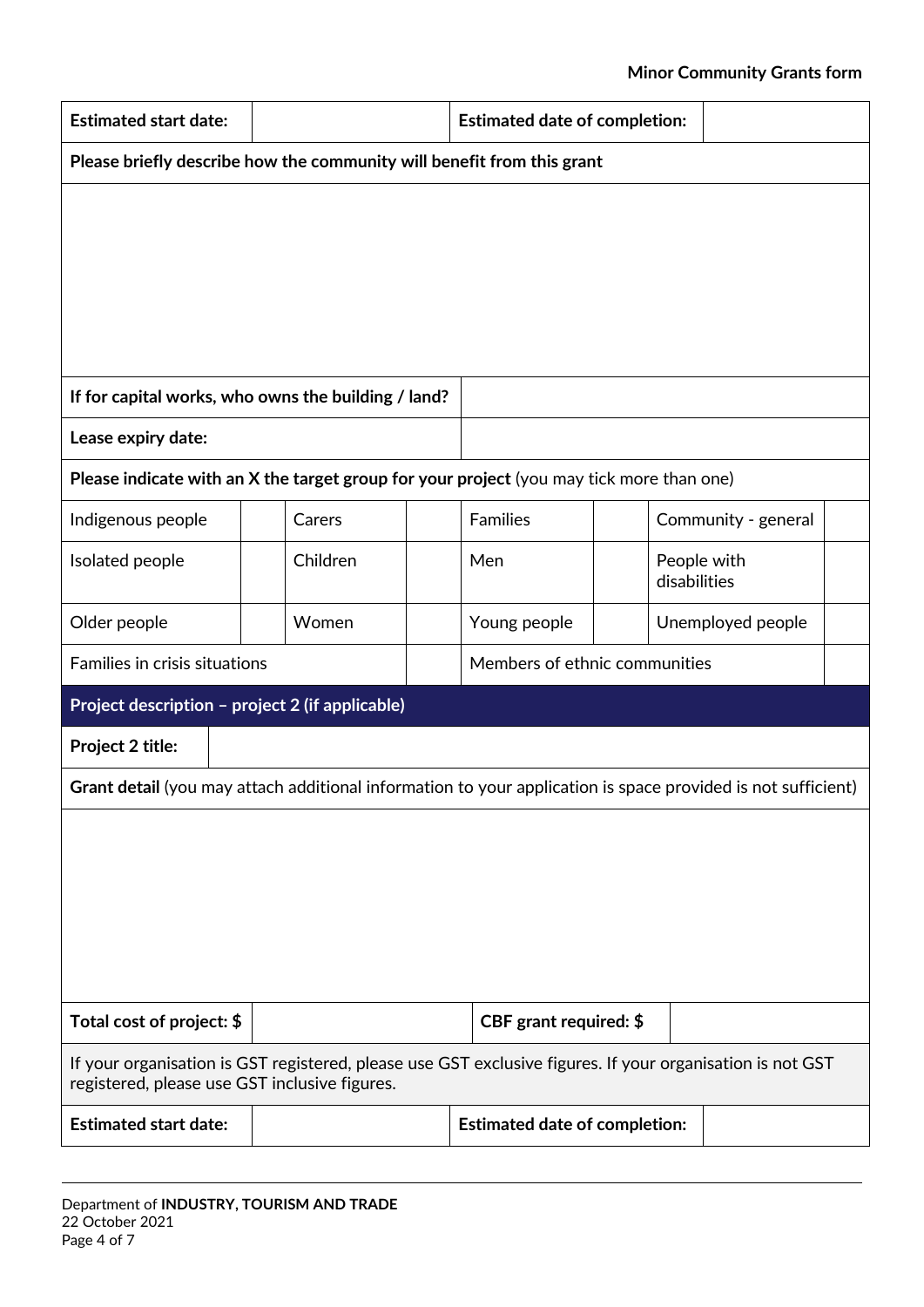## **Minor Community Grants form**

| <b>Estimated start date:</b>                                                                                                                               |          |  | <b>Estimated date of completion:</b> |  |              |                     |  |
|------------------------------------------------------------------------------------------------------------------------------------------------------------|----------|--|--------------------------------------|--|--------------|---------------------|--|
| Please briefly describe how the community will benefit from this grant                                                                                     |          |  |                                      |  |              |                     |  |
|                                                                                                                                                            |          |  |                                      |  |              |                     |  |
|                                                                                                                                                            |          |  |                                      |  |              |                     |  |
|                                                                                                                                                            |          |  |                                      |  |              |                     |  |
|                                                                                                                                                            |          |  |                                      |  |              |                     |  |
|                                                                                                                                                            |          |  |                                      |  |              |                     |  |
| If for capital works, who owns the building / land?                                                                                                        |          |  |                                      |  |              |                     |  |
| Lease expiry date:                                                                                                                                         |          |  |                                      |  |              |                     |  |
| Please indicate with an X the target group for your project (you may tick more than one)                                                                   |          |  |                                      |  |              |                     |  |
| Indigenous people                                                                                                                                          | Carers   |  | <b>Families</b>                      |  |              | Community - general |  |
| Isolated people                                                                                                                                            | Children |  | Men                                  |  | disabilities | People with         |  |
| Older people                                                                                                                                               | Women    |  | Young people                         |  |              | Unemployed people   |  |
| Families in crisis situations                                                                                                                              |          |  | Members of ethnic communities        |  |              |                     |  |
| Project description - project 2 (if applicable)                                                                                                            |          |  |                                      |  |              |                     |  |
| Project 2 title:                                                                                                                                           |          |  |                                      |  |              |                     |  |
| Grant detail (you may attach additional information to your application is space provided is not sufficient)                                               |          |  |                                      |  |              |                     |  |
|                                                                                                                                                            |          |  |                                      |  |              |                     |  |
|                                                                                                                                                            |          |  |                                      |  |              |                     |  |
|                                                                                                                                                            |          |  |                                      |  |              |                     |  |
|                                                                                                                                                            |          |  |                                      |  |              |                     |  |
|                                                                                                                                                            |          |  |                                      |  |              |                     |  |
| Total cost of project: \$                                                                                                                                  |          |  | CBF grant required: \$               |  |              |                     |  |
| If your organisation is GST registered, please use GST exclusive figures. If your organisation is not GST<br>registered, please use GST inclusive figures. |          |  |                                      |  |              |                     |  |
| <b>Estimated start date:</b>                                                                                                                               |          |  | <b>Estimated date of completion:</b> |  |              |                     |  |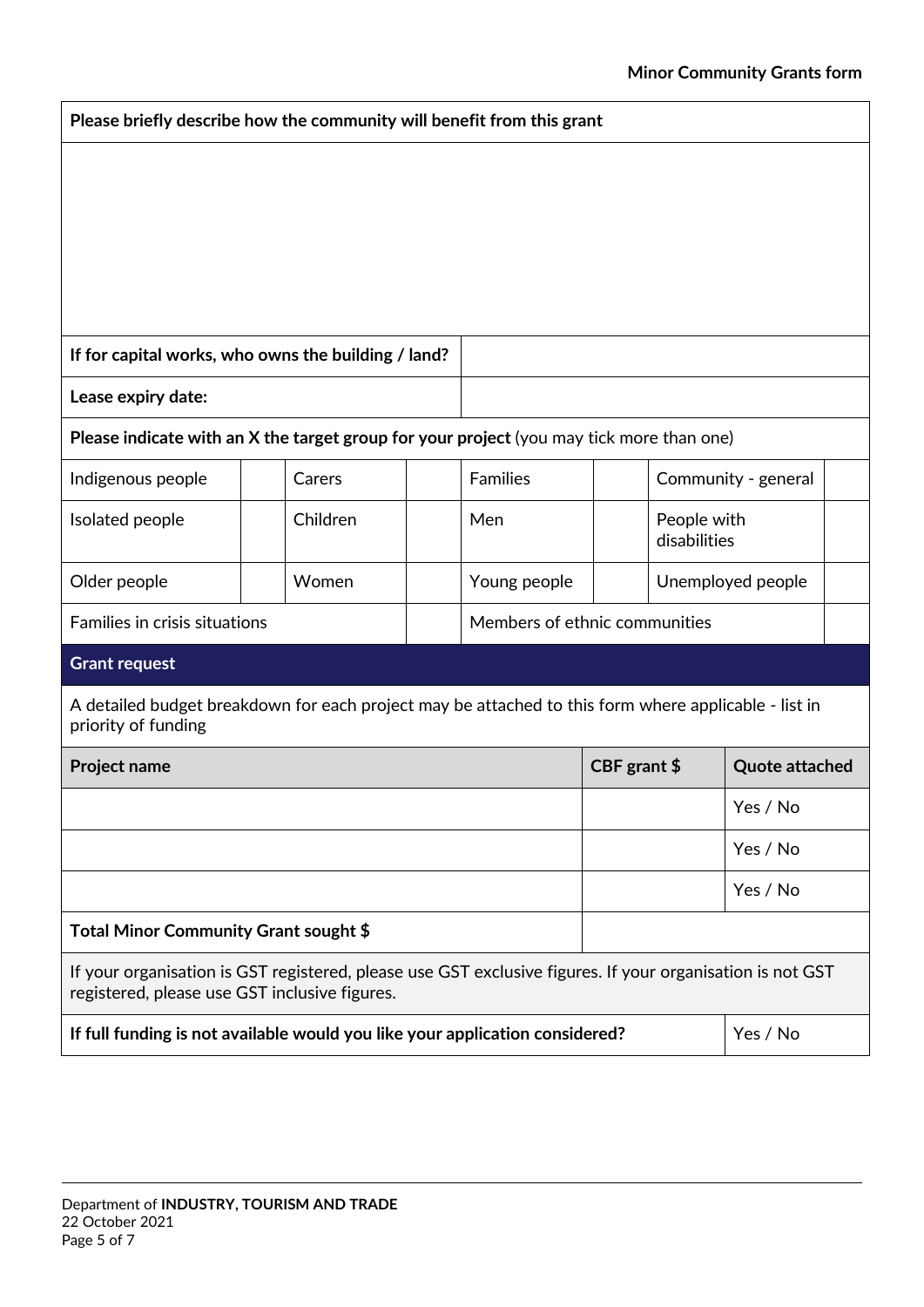| Please briefly describe how the community will benefit from this grant                                                                                     |          |  |                               |               |                             |                       |  |
|------------------------------------------------------------------------------------------------------------------------------------------------------------|----------|--|-------------------------------|---------------|-----------------------------|-----------------------|--|
|                                                                                                                                                            |          |  |                               |               |                             |                       |  |
|                                                                                                                                                            |          |  |                               |               |                             |                       |  |
|                                                                                                                                                            |          |  |                               |               |                             |                       |  |
| If for capital works, who owns the building / land?                                                                                                        |          |  |                               |               |                             |                       |  |
| Lease expiry date:                                                                                                                                         |          |  |                               |               |                             |                       |  |
| Please indicate with an X the target group for your project (you may tick more than one)                                                                   |          |  |                               |               |                             |                       |  |
| Indigenous people                                                                                                                                          | Carers   |  | <b>Families</b>               |               |                             | Community - general   |  |
| Isolated people                                                                                                                                            | Children |  | Men                           |               | People with<br>disabilities |                       |  |
| Older people                                                                                                                                               | Women    |  | Young people                  |               | Unemployed people           |                       |  |
| <b>Families in crisis situations</b>                                                                                                                       |          |  | Members of ethnic communities |               |                             |                       |  |
| <b>Grant request</b>                                                                                                                                       |          |  |                               |               |                             |                       |  |
| A detailed budget breakdown for each project may be attached to this form where applicable - list in<br>priority of funding                                |          |  |                               |               |                             |                       |  |
| <b>Project name</b>                                                                                                                                        |          |  |                               | CBF grant $$$ |                             | <b>Quote attached</b> |  |
|                                                                                                                                                            |          |  |                               | Yes / No      |                             |                       |  |
|                                                                                                                                                            |          |  | Yes / No                      |               |                             |                       |  |
|                                                                                                                                                            |          |  |                               |               |                             | Yes / No              |  |
| Total Minor Community Grant sought \$                                                                                                                      |          |  |                               |               |                             |                       |  |
| If your organisation is GST registered, please use GST exclusive figures. If your organisation is not GST<br>registered, please use GST inclusive figures. |          |  |                               |               |                             |                       |  |
| If full funding is not available would you like your application considered?<br>Yes / No                                                                   |          |  |                               |               |                             |                       |  |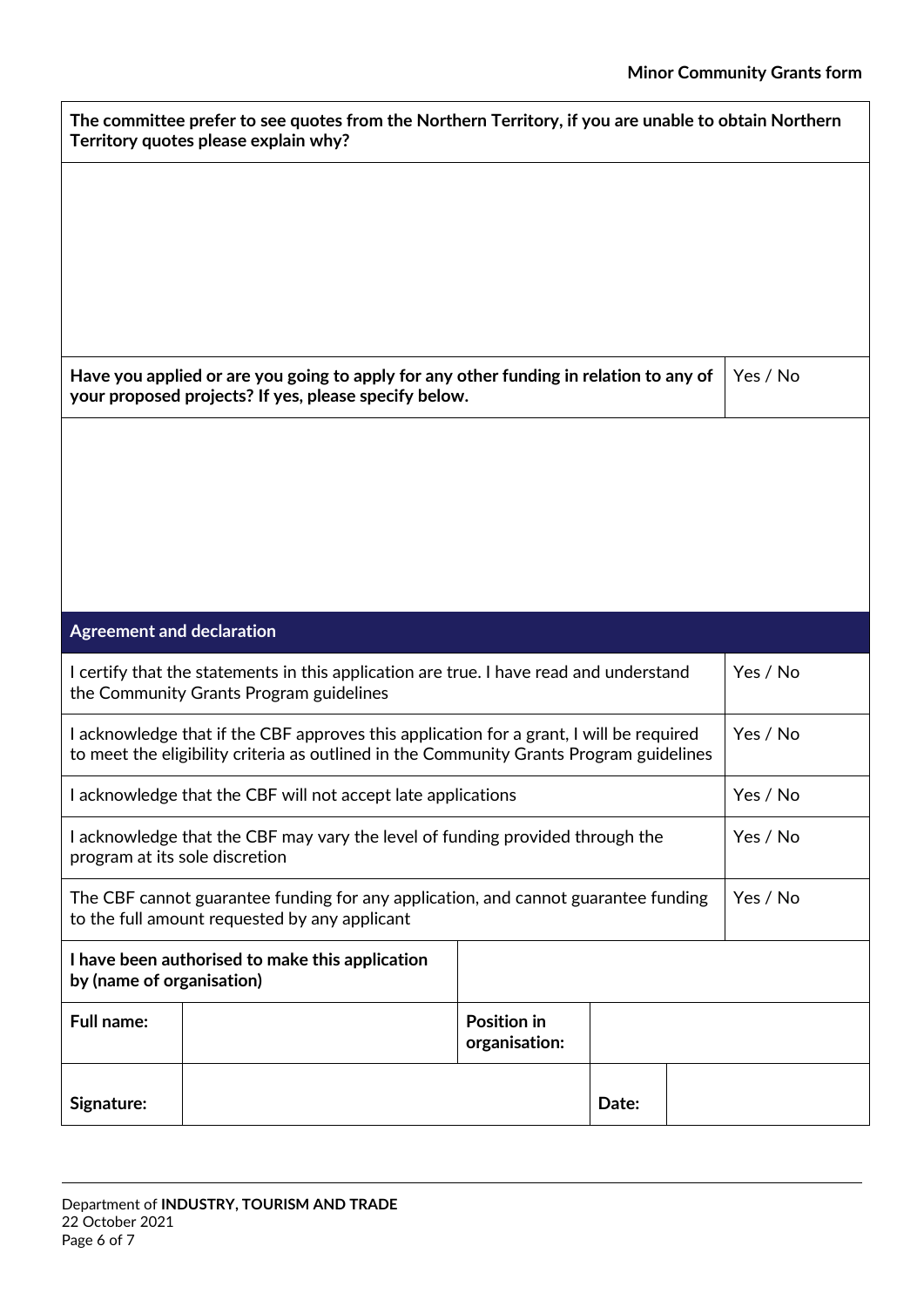| The committee prefer to see quotes from the Northern Territory, if you are unable to obtain Northern<br>Territory quotes please explain why? |                                                                                                                                                                                    |                                     |       |  |          |  |  |  |
|----------------------------------------------------------------------------------------------------------------------------------------------|------------------------------------------------------------------------------------------------------------------------------------------------------------------------------------|-------------------------------------|-------|--|----------|--|--|--|
|                                                                                                                                              |                                                                                                                                                                                    |                                     |       |  |          |  |  |  |
|                                                                                                                                              |                                                                                                                                                                                    |                                     |       |  |          |  |  |  |
|                                                                                                                                              |                                                                                                                                                                                    |                                     |       |  |          |  |  |  |
|                                                                                                                                              |                                                                                                                                                                                    |                                     |       |  |          |  |  |  |
|                                                                                                                                              | Have you applied or are you going to apply for any other funding in relation to any of<br>your proposed projects? If yes, please specify below.                                    |                                     |       |  |          |  |  |  |
|                                                                                                                                              |                                                                                                                                                                                    |                                     |       |  |          |  |  |  |
|                                                                                                                                              |                                                                                                                                                                                    |                                     |       |  |          |  |  |  |
|                                                                                                                                              |                                                                                                                                                                                    |                                     |       |  |          |  |  |  |
|                                                                                                                                              |                                                                                                                                                                                    |                                     |       |  |          |  |  |  |
| <b>Agreement and declaration</b>                                                                                                             |                                                                                                                                                                                    |                                     |       |  |          |  |  |  |
|                                                                                                                                              | I certify that the statements in this application are true. I have read and understand<br>the Community Grants Program guidelines                                                  |                                     |       |  | Yes / No |  |  |  |
|                                                                                                                                              | I acknowledge that if the CBF approves this application for a grant, I will be required<br>to meet the eligibility criteria as outlined in the Community Grants Program guidelines |                                     |       |  | Yes / No |  |  |  |
|                                                                                                                                              | I acknowledge that the CBF will not accept late applications                                                                                                                       |                                     |       |  | Yes / No |  |  |  |
| I acknowledge that the CBF may vary the level of funding provided through the<br>program at its sole discretion                              | Yes / No                                                                                                                                                                           |                                     |       |  |          |  |  |  |
| The CBF cannot guarantee funding for any application, and cannot guarantee funding<br>to the full amount requested by any applicant          | Yes / No                                                                                                                                                                           |                                     |       |  |          |  |  |  |
| I have been authorised to make this application<br>by (name of organisation)                                                                 |                                                                                                                                                                                    |                                     |       |  |          |  |  |  |
| <b>Full name:</b>                                                                                                                            |                                                                                                                                                                                    | <b>Position in</b><br>organisation: |       |  |          |  |  |  |
| Signature:                                                                                                                                   |                                                                                                                                                                                    |                                     | Date: |  |          |  |  |  |